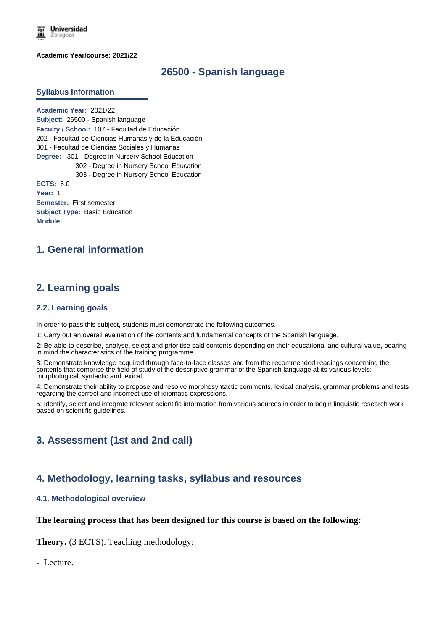**Universidad** Zaragoza

**Academic Year/course: 2021/22**

## **26500 - Spanish language**

#### **Syllabus Information**

**Academic Year:** 2021/22 **Subject:** 26500 - Spanish language **Faculty / School:** 107 - Facultad de Educación 202 - Facultad de Ciencias Humanas y de la Educación 301 - Facultad de Ciencias Sociales y Humanas **Degree:** 301 - Degree in Nursery School Education 302 - Degree in Nursery School Education 303 - Degree in Nursery School Education **ECTS:** 6.0 **Year:** 1 **Semester:** First semester **Subject Type:** Basic Education **Module:**

# **1. General information**

## **2. Learning goals**

#### **2.2. Learning goals**

In order to pass this subject, students must demonstrate the following outcomes.

1: Carry out an overall evaluation of the contents and fundamental concepts of the Spanish language.

2: Be able to describe, analyse, select and prioritise said contents depending on their educational and cultural value, bearing in mind the characteristics of the training programme.

3: Demonstrate knowledge acquired through face-to-face classes and from the recommended readings concerning the contents that comprise the field of study of the descriptive grammar of the Spanish language at its various levels: morphological, syntactic and lexical.

4: Demonstrate their ability to propose and resolve morphosyntactic comments, lexical analysis, grammar problems and tests regarding the correct and incorrect use of idiomatic expressions.

5: Identify, select and integrate relevant scientific information from various sources in order to begin linguistic research work based on scientific guidelines.

# **3. Assessment (1st and 2nd call)**

## **4. Methodology, learning tasks, syllabus and resources**

#### **4.1. Methodological overview**

#### **The learning process that has been designed for this course is based on the following:**

**Theory.** (3 ECTS). Teaching methodology:

- Lecture.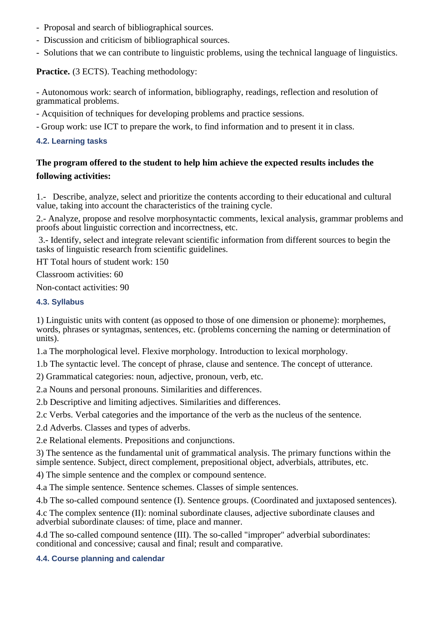- Proposal and search of bibliographical sources.
- Discussion and criticism of bibliographical sources.
- Solutions that we can contribute to linguistic problems, using the technical language of linguistics.

**Practice.** (3 ECTS). Teaching methodology:

- Autonomous work: search of information, bibliography, readings, reflection and resolution of grammatical problems.

- Acquisition of techniques for developing problems and practice sessions.

- Group work: use ICT to prepare the work, to find information and to present it in class.

### **4.2. Learning tasks**

# **The program offered to the student to help him achieve the expected results includes the following activities:**

1.- Describe, analyze, select and prioritize the contents according to their educational and cultural value, taking into account the characteristics of the training cycle.

2.- Analyze, propose and resolve morphosyntactic comments, lexical analysis, grammar problems and proofs about linguistic correction and incorrectness, etc.

 3.- Identify, select and integrate relevant scientific information from different sources to begin the tasks of linguistic research from scientific guidelines.

HT Total hours of student work: 150

Classroom activities: 60

Non-contact activities: 90

### **4.3. Syllabus**

1) Linguistic units with content (as opposed to those of one dimension or phoneme): morphemes, words, phrases or syntagmas, sentences, etc. (problems concerning the naming or determination of units).

1.a The morphological level. Flexive morphology. Introduction to lexical morphology.

1.b The syntactic level. The concept of phrase, clause and sentence. The concept of utterance.

2) Grammatical categories: noun, adjective, pronoun, verb, etc.

2.a Nouns and personal pronouns. Similarities and differences.

2.b Descriptive and limiting adjectives. Similarities and differences.

2.c Verbs. Verbal categories and the importance of the verb as the nucleus of the sentence.

2.d Adverbs. Classes and types of adverbs.

2.e Relational elements. Prepositions and conjunctions.

3) The sentence as the fundamental unit of grammatical analysis. The primary functions within the simple sentence. Subject, direct complement, prepositional object, adverbials, attributes, etc.

4) The simple sentence and the complex or compound sentence.

4.a The simple sentence. Sentence schemes. Classes of simple sentences.

4.b The so-called compound sentence (I). Sentence groups. (Coordinated and juxtaposed sentences).

4.c The complex sentence (II): nominal subordinate clauses, adjective subordinate clauses and adverbial subordinate clauses: of time, place and manner.

4.d The so-called compound sentence (III). The so-called "improper" adverbial subordinates: conditional and concessive; causal and final; result and comparative.

### **4.4. Course planning and calendar**